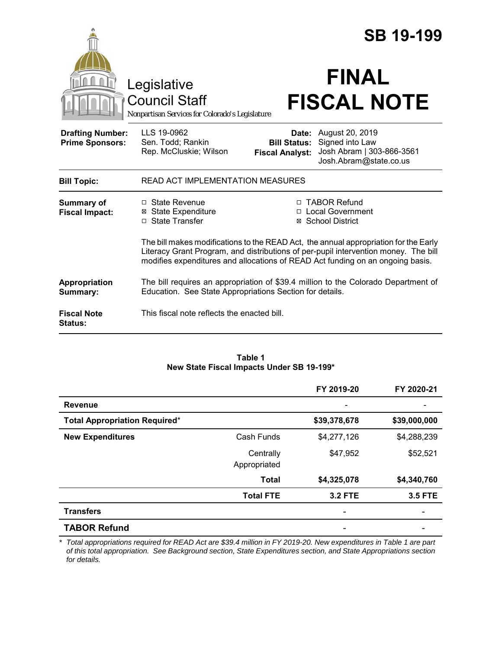|                                                   |                                                                                        |                                                        | <b>SB 19-199</b>                                                                                                                                                                                                                                              |  |
|---------------------------------------------------|----------------------------------------------------------------------------------------|--------------------------------------------------------|---------------------------------------------------------------------------------------------------------------------------------------------------------------------------------------------------------------------------------------------------------------|--|
|                                                   | Legislative<br><b>Council Staff</b><br>Nonpartisan Services for Colorado's Legislature |                                                        | <b>FINAL</b><br><b>FISCAL NOTE</b>                                                                                                                                                                                                                            |  |
| <b>Drafting Number:</b><br><b>Prime Sponsors:</b> | LLS 19-0962<br>Sen. Todd; Rankin<br>Rep. McCluskie; Wilson                             | Date:<br><b>Bill Status:</b><br><b>Fiscal Analyst:</b> | August 20, 2019<br>Signed into Law<br>Josh Abram   303-866-3561<br>Josh.Abram@state.co.us                                                                                                                                                                     |  |
| <b>Bill Topic:</b>                                | READ ACT IMPLEMENTATION MEASURES                                                       |                                                        |                                                                                                                                                                                                                                                               |  |
| <b>Summary of</b><br><b>Fiscal Impact:</b>        | $\Box$ State Revenue<br><b>State Expenditure</b><br>⊠<br>□ State Transfer              | $\Box$                                                 | □ TABOR Refund<br><b>Local Government</b><br>⊠ School District                                                                                                                                                                                                |  |
|                                                   |                                                                                        |                                                        | The bill makes modifications to the READ Act, the annual appropriation for the Early<br>Literacy Grant Program, and distributions of per-pupil intervention money. The bill<br>modifies expenditures and allocations of READ Act funding on an ongoing basis. |  |
| Appropriation<br>Summary:                         | Education. See State Appropriations Section for details.                               |                                                        | The bill requires an appropriation of \$39.4 million to the Colorado Department of                                                                                                                                                                            |  |
| <b>Fiscal Note</b><br><b>Status:</b>              | This fiscal note reflects the enacted bill.                                            |                                                        |                                                                                                                                                                                                                                                               |  |

| Table 1                                   |  |  |  |  |
|-------------------------------------------|--|--|--|--|
| New State Fiscal Impacts Under SB 19-199* |  |  |  |  |

|                                      |                           | FY 2019-20     | FY 2020-21     |
|--------------------------------------|---------------------------|----------------|----------------|
| <b>Revenue</b>                       |                           |                |                |
| <b>Total Appropriation Required*</b> |                           | \$39,378,678   | \$39,000,000   |
| <b>New Expenditures</b>              | Cash Funds                | \$4,277,126    | \$4,288,239    |
|                                      | Centrally<br>Appropriated | \$47,952       | \$52,521       |
|                                      | <b>Total</b>              | \$4,325,078    | \$4,340,760    |
|                                      | <b>Total FTE</b>          | <b>3.2 FTE</b> | <b>3.5 FTE</b> |
| <b>Transfers</b>                     |                           |                |                |
| <b>TABOR Refund</b>                  |                           |                |                |

*\* Total appropriations required for READ Act are \$39.4 million in FY 2019-20. New expenditures in Table 1 are part of this total appropriation. See Background section, State Expenditures section, and State Appropriations section for details.*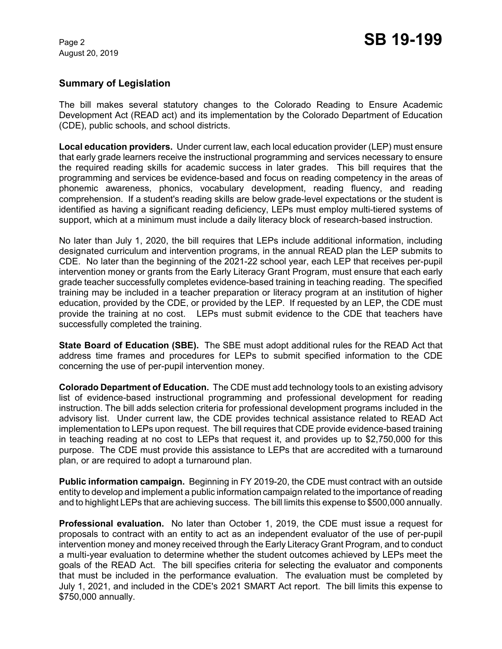#### **Summary of Legislation**

The bill makes several statutory changes to the Colorado Reading to Ensure Academic Development Act (READ act) and its implementation by the Colorado Department of Education (CDE), public schools, and school districts.

**Local education providers.** Under current law, each local education provider (LEP) must ensure that early grade learners receive the instructional programming and services necessary to ensure the required reading skills for academic success in later grades. This bill requires that the programming and services be evidence-based and focus on reading competency in the areas of phonemic awareness, phonics, vocabulary development, reading fluency, and reading comprehension. If a student's reading skills are below grade-level expectations or the student is identified as having a significant reading deficiency, LEPs must employ multi-tiered systems of support, which at a minimum must include a daily literacy block of research-based instruction.

No later than July 1, 2020, the bill requires that LEPs include additional information, including designated curriculum and intervention programs, in the annual READ plan the LEP submits to CDE. No later than the beginning of the 2021-22 school year, each LEP that receives per-pupil intervention money or grants from the Early Literacy Grant Program, must ensure that each early grade teacher successfully completes evidence-based training in teaching reading. The specified training may be included in a teacher preparation or literacy program at an institution of higher education, provided by the CDE, or provided by the LEP. If requested by an LEP, the CDE must provide the training at no cost. LEPs must submit evidence to the CDE that teachers have successfully completed the training.

**State Board of Education (SBE).** The SBE must adopt additional rules for the READ Act that address time frames and procedures for LEPs to submit specified information to the CDE concerning the use of per-pupil intervention money.

**Colorado Department of Education.** The CDE must add technology tools to an existing advisory list of evidence-based instructional programming and professional development for reading instruction. The bill adds selection criteria for professional development programs included in the advisory list. Under current law, the CDE provides technical assistance related to READ Act implementation to LEPs upon request. The bill requires that CDE provide evidence-based training in teaching reading at no cost to LEPs that request it, and provides up to \$2,750,000 for this purpose. The CDE must provide this assistance to LEPs that are accredited with a turnaround plan, or are required to adopt a turnaround plan.

**Public information campaign.** Beginning in FY 2019-20, the CDE must contract with an outside entity to develop and implement a public information campaign related to the importance of reading and to highlight LEPs that are achieving success. The bill limits this expense to \$500,000 annually.

**Professional evaluation.** No later than October 1, 2019, the CDE must issue a request for proposals to contract with an entity to act as an independent evaluator of the use of per-pupil intervention money and money received through the Early Literacy Grant Program, and to conduct a multi-year evaluation to determine whether the student outcomes achieved by LEPs meet the goals of the READ Act. The bill specifies criteria for selecting the evaluator and components that must be included in the performance evaluation. The evaluation must be completed by July 1, 2021, and included in the CDE's 2021 SMART Act report. The bill limits this expense to \$750,000 annually.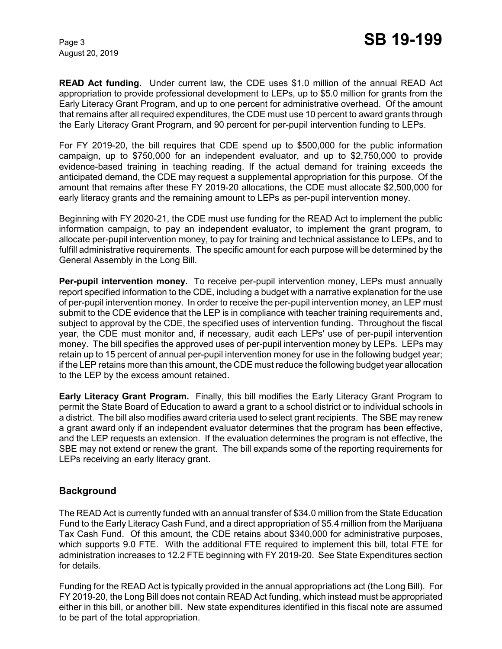**READ Act funding.** Under current law, the CDE uses \$1.0 million of the annual READ Act appropriation to provide professional development to LEPs, up to \$5.0 million for grants from the Early Literacy Grant Program, and up to one percent for administrative overhead. Of the amount that remains after all required expenditures, the CDE must use 10 percent to award grants through the Early Literacy Grant Program, and 90 percent for per-pupil intervention funding to LEPs.

For FY 2019-20, the bill requires that CDE spend up to \$500,000 for the public information campaign, up to \$750,000 for an independent evaluator, and up to \$2,750,000 to provide evidence-based training in teaching reading. If the actual demand for training exceeds the anticipated demand, the CDE may request a supplemental appropriation for this purpose. Of the amount that remains after these FY 2019-20 allocations, the CDE must allocate \$2,500,000 for early literacy grants and the remaining amount to LEPs as per-pupil intervention money.

Beginning with FY 2020-21, the CDE must use funding for the READ Act to implement the public information campaign, to pay an independent evaluator, to implement the grant program, to allocate per-pupil intervention money, to pay for training and technical assistance to LEPs, and to fulfill administrative requirements. The specific amount for each purpose will be determined by the General Assembly in the Long Bill.

**Per-pupil intervention money.** To receive per-pupil intervention money, LEPs must annually report specified information to the CDE, including a budget with a narrative explanation for the use of per-pupil intervention money. In order to receive the per-pupil intervention money, an LEP must submit to the CDE evidence that the LEP is in compliance with teacher training requirements and, subject to approval by the CDE, the specified uses of intervention funding. Throughout the fiscal year, the CDE must monitor and, if necessary, audit each LEPs' use of per-pupil intervention money. The bill specifies the approved uses of per-pupil intervention money by LEPs. LEPs may retain up to 15 percent of annual per-pupil intervention money for use in the following budget year; if the LEP retains more than this amount, the CDE must reduce the following budget year allocation to the LEP by the excess amount retained.

**Early Literacy Grant Program.** Finally, this bill modifies the Early Literacy Grant Program to permit the State Board of Education to award a grant to a school district or to individual schools in a district. The bill also modifies award criteria used to select grant recipients. The SBE may renew a grant award only if an independent evaluator determines that the program has been effective, and the LEP requests an extension. If the evaluation determines the program is not effective, the SBE may not extend or renew the grant. The bill expands some of the reporting requirements for LEPs receiving an early literacy grant.

### **Background**

The READ Act is currently funded with an annual transfer of \$34.0 million from the State Education Fund to the Early Literacy Cash Fund, and a direct appropriation of \$5.4 million from the Marijuana Tax Cash Fund. Of this amount, the CDE retains about \$340,000 for administrative purposes, which supports 9.0 FTE. With the additional FTE required to implement this bill, total FTE for administration increases to 12.2 FTE beginning with FY 2019-20. See State Expenditures section for details.

Funding for the READ Act is typically provided in the annual appropriations act (the Long Bill). For FY 2019-20, the Long Bill does not contain READ Act funding, which instead must be appropriated either in this bill, or another bill. New state expenditures identified in this fiscal note are assumed to be part of the total appropriation.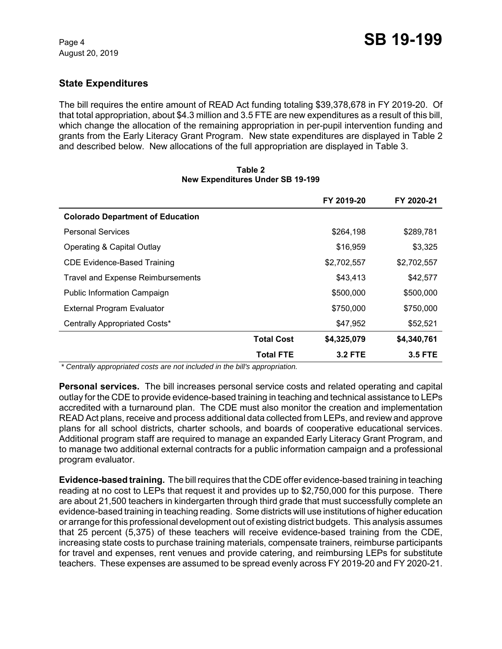# **State Expenditures**

The bill requires the entire amount of READ Act funding totaling \$39,378,678 in FY 2019-20. Of that total appropriation, about \$4.3 million and 3.5 FTE are new expenditures as a result of this bill, which change the allocation of the remaining appropriation in per-pupil intervention funding and grants from the Early Literacy Grant Program. New state expenditures are displayed in Table 2 and described below. New allocations of the full appropriation are displayed in Table 3.

|                                          |                   | FY 2019-20     | FY 2020-21     |
|------------------------------------------|-------------------|----------------|----------------|
| <b>Colorado Department of Education</b>  |                   |                |                |
| <b>Personal Services</b>                 |                   | \$264,198      | \$289,781      |
| Operating & Capital Outlay               |                   | \$16,959       | \$3,325        |
| <b>CDE Evidence-Based Training</b>       |                   | \$2,702,557    | \$2,702,557    |
| <b>Travel and Expense Reimbursements</b> |                   | \$43,413       | \$42,577       |
| <b>Public Information Campaign</b>       |                   | \$500,000      | \$500,000      |
| <b>External Program Evaluator</b>        |                   | \$750,000      | \$750,000      |
| Centrally Appropriated Costs*            |                   | \$47,952       | \$52,521       |
|                                          | <b>Total Cost</b> | \$4,325,079    | \$4,340,761    |
|                                          | <b>Total FTE</b>  | <b>3.2 FTE</b> | <b>3.5 FTE</b> |

#### **Table 2 New Expenditures Under SB 19-199**

 *\* Centrally appropriated costs are not included in the bill's appropriation.*

**Personal services.** The bill increases personal service costs and related operating and capital outlay for the CDE to provide evidence-based training in teaching and technical assistance to LEPs accredited with a turnaround plan. The CDE must also monitor the creation and implementation READ Act plans, receive and process additional data collected from LEPs, and review and approve plans for all school districts, charter schools, and boards of cooperative educational services. Additional program staff are required to manage an expanded Early Literacy Grant Program, and to manage two additional external contracts for a public information campaign and a professional program evaluator.

**Evidence-based training.** The bill requires that the CDE offer evidence-based training in teaching reading at no cost to LEPs that request it and provides up to \$2,750,000 for this purpose. There are about 21,500 teachers in kindergarten through third grade that must successfully complete an evidence-based training in teaching reading. Some districts will use institutions of higher education or arrange for this professional development out of existing district budgets. This analysis assumes that 25 percent (5,375) of these teachers will receive evidence-based training from the CDE, increasing state costs to purchase training materials, compensate trainers, reimburse participants for travel and expenses, rent venues and provide catering, and reimbursing LEPs for substitute teachers. These expenses are assumed to be spread evenly across FY 2019-20 and FY 2020-21.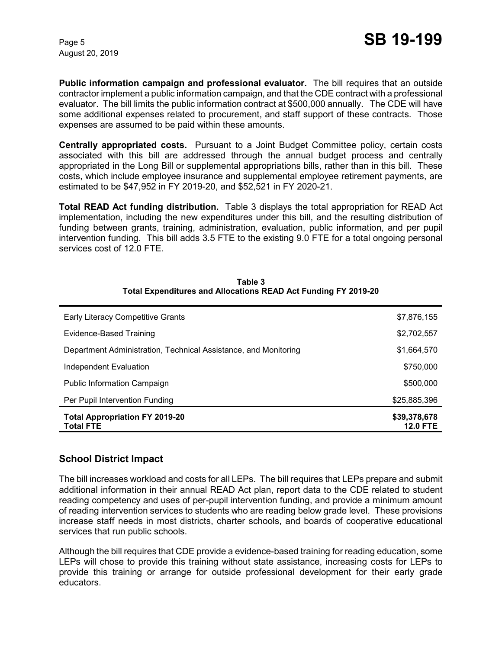**Public information campaign and professional evaluator.** The bill requires that an outside contractor implement a public information campaign, and that the CDE contract with a professional evaluator. The bill limits the public information contract at \$500,000 annually. The CDE will have some additional expenses related to procurement, and staff support of these contracts. Those expenses are assumed to be paid within these amounts.

**Centrally appropriated costs.** Pursuant to a Joint Budget Committee policy, certain costs associated with this bill are addressed through the annual budget process and centrally appropriated in the Long Bill or supplemental appropriations bills, rather than in this bill. These costs, which include employee insurance and supplemental employee retirement payments, are estimated to be \$47,952 in FY 2019-20, and \$52,521 in FY 2020-21.

**Total READ Act funding distribution.** Table 3 displays the total appropriation for READ Act implementation, including the new expenditures under this bill, and the resulting distribution of funding between grants, training, administration, evaluation, public information, and per pupil intervention funding. This bill adds 3.5 FTE to the existing 9.0 FTE for a total ongoing personal services cost of 12.0 FTE.

| <b>Early Literacy Competitive Grants</b>                        | \$7,876,155                     |
|-----------------------------------------------------------------|---------------------------------|
| Evidence-Based Training                                         | \$2,702,557                     |
| Department Administration, Technical Assistance, and Monitoring | \$1,664,570                     |
| Independent Evaluation                                          | \$750,000                       |
| <b>Public Information Campaign</b>                              | \$500,000                       |
| Per Pupil Intervention Funding                                  | \$25,885,396                    |
| <b>Total Appropriation FY 2019-20</b><br><b>Total FTE</b>       | \$39,378,678<br><b>12.0 FTE</b> |

**Table 3 Total Expenditures and Allocations READ Act Funding FY 2019-20**

### **School District Impact**

The bill increases workload and costs for all LEPs. The bill requires that LEPs prepare and submit additional information in their annual READ Act plan, report data to the CDE related to student reading competency and uses of per-pupil intervention funding, and provide a minimum amount of reading intervention services to students who are reading below grade level. These provisions increase staff needs in most districts, charter schools, and boards of cooperative educational services that run public schools.

Although the bill requires that CDE provide a evidence-based training for reading education, some LEPs will chose to provide this training without state assistance, increasing costs for LEPs to provide this training or arrange for outside professional development for their early grade educators.